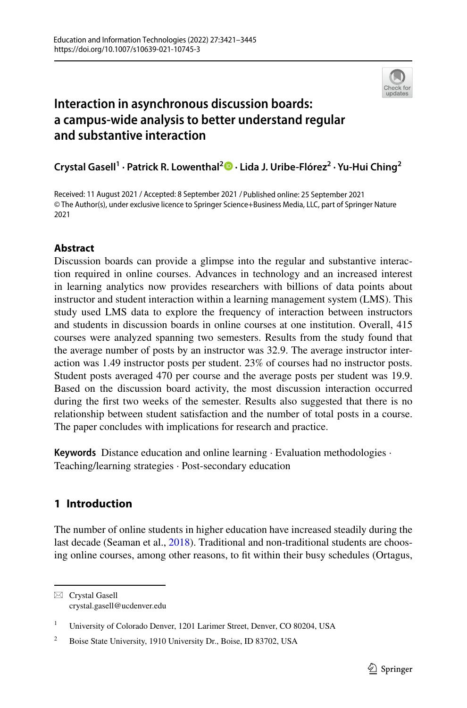

# **Interaction in asynchronous discussion boards: a campus-wide analysis to better understand regular and substantive interaction**

**Crystal Gasell1 · Patrick R. Lowenthal2 · Lida J. Uribe‑Flórez<sup>2</sup> · Yu‑Hui Ching2**

Received: 11 August 2021 / Accepted: 8 September 2021 / Published online: 25 September 2021© The Author(s), under exclusive licence to Springer Science+Business Media, LLC, part of Springer Nature 2021

# **Abstract**

Discussion boards can provide a glimpse into the regular and substantive interaction required in online courses. Advances in technology and an increased interest in learning analytics now provides researchers with billions of data points about instructor and student interaction within a learning management system (LMS). This study used LMS data to explore the frequency of interaction between instructors and students in discussion boards in online courses at one institution. Overall, 415 courses were analyzed spanning two semesters. Results from the study found that the average number of posts by an instructor was 32.9. The average instructor interaction was 1.49 instructor posts per student. 23% of courses had no instructor posts. Student posts averaged 470 per course and the average posts per student was 19.9. Based on the discussion board activity, the most discussion interaction occurred during the frst two weeks of the semester. Results also suggested that there is no relationship between student satisfaction and the number of total posts in a course. The paper concludes with implications for research and practice.

**Keywords** Distance education and online learning · Evaluation methodologies · Teaching/learning strategies · Post-secondary education

# **1 Introduction**

The number of online students in higher education have increased steadily during the last decade (Seaman et al., [2018\)](#page-23-0). Traditional and non-traditional students are choosing online courses, among other reasons, to ft within their busy schedules (Ortagus,

 $\boxtimes$  Crystal Gasell crystal.gasell@ucdenver.edu

<sup>&</sup>lt;sup>1</sup> University of Colorado Denver, 1201 Larimer Street, Denver, CO 80204, USA

<sup>&</sup>lt;sup>2</sup> Boise State University, 1910 University Dr., Boise, ID 83702, USA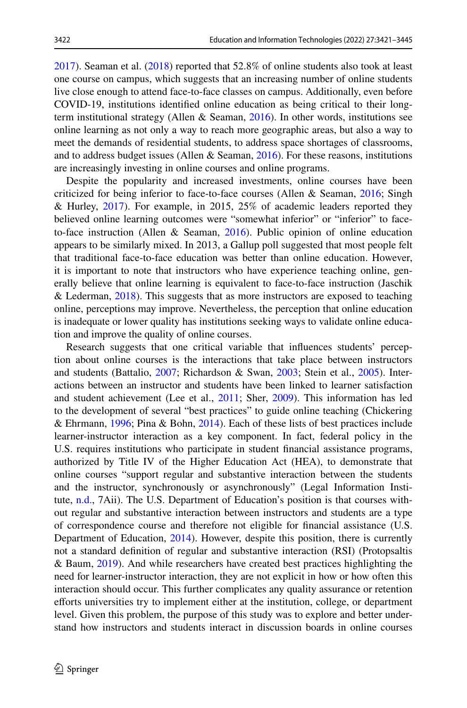[2017](#page-23-1)). Seaman et al. [\(2018](#page-23-0)) reported that 52.8% of online students also took at least one course on campus, which suggests that an increasing number of online students live close enough to attend face-to-face classes on campus. Additionally, even before COVID-19, institutions identifed online education as being critical to their longterm institutional strategy (Allen & Seaman, [2016\)](#page-21-0). In other words, institutions see online learning as not only a way to reach more geographic areas, but also a way to meet the demands of residential students, to address space shortages of classrooms, and to address budget issues (Allen  $\&$  Seaman, [2016](#page-21-0)). For these reasons, institutions are increasingly investing in online courses and online programs.

Despite the popularity and increased investments, online courses have been criticized for being inferior to face-to-face courses (Allen & Seaman, [2016;](#page-21-0) Singh & Hurley, [2017\)](#page-23-2). For example, in 2015, 25% of academic leaders reported they believed online learning outcomes were "somewhat inferior" or "inferior" to faceto-face instruction (Allen & Seaman, [2016\)](#page-21-0). Public opinion of online education appears to be similarly mixed. In 2013, a Gallup poll suggested that most people felt that traditional face-to-face education was better than online education. However, it is important to note that instructors who have experience teaching online, generally believe that online learning is equivalent to face-to-face instruction (Jaschik & Lederman,  $2018$ ). This suggests that as more instructors are exposed to teaching online, perceptions may improve. Nevertheless, the perception that online education is inadequate or lower quality has institutions seeking ways to validate online education and improve the quality of online courses.

Research suggests that one critical variable that infuences students' perception about online courses is the interactions that take place between instructors and students (Battalio, [2007](#page-21-1); Richardson & Swan, [2003;](#page-23-3) Stein et al., [2005](#page-24-0)). Interactions between an instructor and students have been linked to learner satisfaction and student achievement (Lee et al., [2011](#page-22-1); Sher, [2009](#page-23-4)). This information has led to the development of several "best practices" to guide online teaching (Chickering & Ehrmann, [1996;](#page-21-2) Pina & Bohn, [2014\)](#page-23-5). Each of these lists of best practices include learner-instructor interaction as a key component. In fact, federal policy in the U.S. requires institutions who participate in student fnancial assistance programs, authorized by Title IV of the Higher Education Act (HEA), to demonstrate that online courses "support regular and substantive interaction between the students and the instructor, synchronously or asynchronously" (Legal Information Institute, [n.d.,](#page-22-2) 7Aii). The U.S. Department of Education's position is that courses without regular and substantive interaction between instructors and students are a type of correspondence course and therefore not eligible for fnancial assistance (U.S. Department of Education, [2014](#page-24-1)). However, despite this position, there is currently not a standard defnition of regular and substantive interaction (RSI) (Protopsaltis & Baum, [2019](#page-23-6)). And while researchers have created best practices highlighting the need for learner-instructor interaction, they are not explicit in how or how often this interaction should occur. This further complicates any quality assurance or retention eforts universities try to implement either at the institution, college, or department level. Given this problem, the purpose of this study was to explore and better understand how instructors and students interact in discussion boards in online courses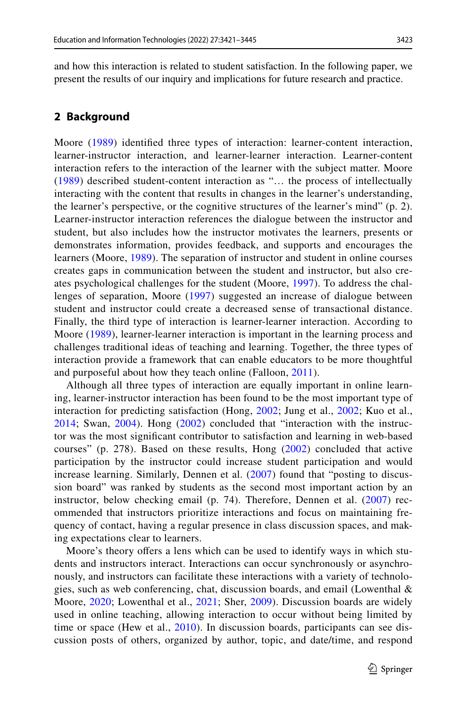and how this interaction is related to student satisfaction. In the following paper, we present the results of our inquiry and implications for future research and practice.

#### **2 Background**

Moore [\(1989\)](#page-23-7) identifed three types of interaction: learner-content interaction, learner-instructor interaction, and learner-learner interaction. Learner-content interaction refers to the interaction of the learner with the subject matter. Moore [\(1989](#page-23-7)) described student-content interaction as "… the process of intellectually interacting with the content that results in changes in the learner's understanding, the learner's perspective, or the cognitive structures of the learner's mind" (p. 2). Learner-instructor interaction references the dialogue between the instructor and student, but also includes how the instructor motivates the learners, presents or demonstrates information, provides feedback, and supports and encourages the learners (Moore, [1989](#page-23-7)). The separation of instructor and student in online courses creates gaps in communication between the student and instructor, but also creates psychological challenges for the student (Moore, [1997\)](#page-23-8). To address the challenges of separation, Moore ([1997\)](#page-23-8) suggested an increase of dialogue between student and instructor could create a decreased sense of transactional distance. Finally, the third type of interaction is learner-learner interaction. According to Moore [\(1989](#page-23-7)), learner-learner interaction is important in the learning process and challenges traditional ideas of teaching and learning. Together, the three types of interaction provide a framework that can enable educators to be more thoughtful and purposeful about how they teach online (Falloon, [2011\)](#page-22-3).

Although all three types of interaction are equally important in online learning, learner-instructor interaction has been found to be the most important type of interaction for predicting satisfaction (Hong, [2002;](#page-22-4) Jung et al., [2002;](#page-22-5) Kuo et al., [2014;](#page-22-6) Swan, [2004\)](#page-24-2). Hong [\(2002\)](#page-22-4) concluded that "interaction with the instructor was the most signifcant contributor to satisfaction and learning in web-based courses" (p. 278). Based on these results, Hong [\(2002\)](#page-22-4) concluded that active participation by the instructor could increase student participation and would increase learning. Similarly, Dennen et al. ([2007](#page-22-7)) found that "posting to discussion board" was ranked by students as the second most important action by an instructor, below checking email (p. 74). Therefore, Dennen et al. ([2007\)](#page-22-7) recommended that instructors prioritize interactions and focus on maintaining frequency of contact, having a regular presence in class discussion spaces, and making expectations clear to learners.

Moore's theory offers a lens which can be used to identify ways in which students and instructors interact. Interactions can occur synchronously or asynchronously, and instructors can facilitate these interactions with a variety of technologies, such as web conferencing, chat, discussion boards, and email (Lowenthal & Moore, [2020;](#page-22-8) Lowenthal et al., [2021](#page-23-9); Sher, [2009](#page-23-4)). Discussion boards are widely used in online teaching, allowing interaction to occur without being limited by time or space (Hew et al., [2010\)](#page-22-9). In discussion boards, participants can see discussion posts of others, organized by author, topic, and date/time, and respond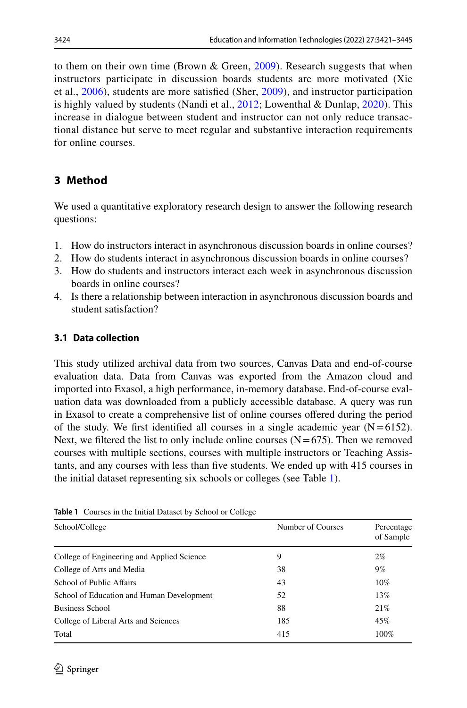to them on their own time (Brown & Green, [2009\)](#page-21-3). Research suggests that when instructors participate in discussion boards students are more motivated (Xie et al., [2006](#page-24-3)), students are more satisfed (Sher, [2009\)](#page-23-4), and instructor participation is highly valued by students (Nandi et al.,  $2012$ ; Lowenthal & Dunlap,  $2020$ ). This increase in dialogue between student and instructor can not only reduce transactional distance but serve to meet regular and substantive interaction requirements for online courses.

# **3 Method**

We used a quantitative exploratory research design to answer the following research questions:

- 1. How do instructors interact in asynchronous discussion boards in online courses?
- 2. How do students interact in asynchronous discussion boards in online courses?
- 3. How do students and instructors interact each week in asynchronous discussion boards in online courses?
- 4. Is there a relationship between interaction in asynchronous discussion boards and student satisfaction?

# **3.1 Data collection**

This study utilized archival data from two sources, Canvas Data and end-of-course evaluation data. Data from Canvas was exported from the Amazon cloud and imported into Exasol, a high performance, in-memory database. End-of-course evaluation data was downloaded from a publicly accessible database. A query was run in Exasol to create a comprehensive list of online courses ofered during the period of the study. We first identified all courses in a single academic year  $(N=6152)$ . Next, we filtered the list to only include online courses  $(N=675)$ . Then we removed courses with multiple sections, courses with multiple instructors or Teaching Assistants, and any courses with less than fve students. We ended up with 415 courses in the initial dataset representing six schools or colleges (see Table [1\)](#page-3-0).

| School/College                             | Number of Courses | Percentage<br>of Sample |
|--------------------------------------------|-------------------|-------------------------|
| College of Engineering and Applied Science | 9                 | $2\%$                   |
| College of Arts and Media                  | 38                | 9%                      |
| School of Public Affairs                   | 43                | $10\%$                  |
| School of Education and Human Development  | 52                | 13%                     |
| <b>Business School</b>                     | 88                | 21%                     |
| College of Liberal Arts and Sciences       | 185               | 45%                     |
| Total                                      | 415               | 100%                    |

<span id="page-3-0"></span>**Table 1** Courses in the Initial Dataset by School or College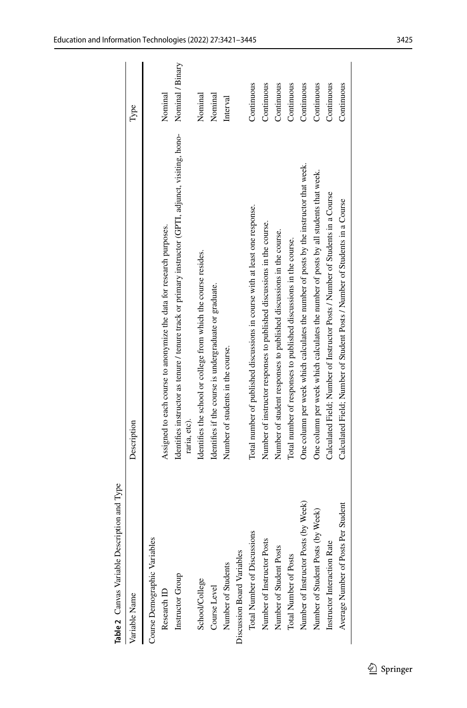<span id="page-4-0"></span>

| Table 2 Canvas Variable Description and Type |                                                                                                                      |                  |
|----------------------------------------------|----------------------------------------------------------------------------------------------------------------------|------------------|
| Variable Name                                | Description                                                                                                          | Type             |
| Course Demographic Variables                 |                                                                                                                      |                  |
| Research ID                                  | Assigned to each course to anonymize the data for research purposes.                                                 | Nominal          |
| Instructor Group                             | Identifies instructor as tenure / tenure track or primary instructor (GPTI, adjunct, visiting, hono-<br>raria, etc). | Nominal / Binary |
| School/College                               | Identifies the school or college from which the course resides.                                                      | Nominal          |
| Course Level                                 | Identifies if the course is undergraduate or graduate.                                                               | Nominal          |
| Number of Students                           | Number of students in the course.                                                                                    | Interval         |
| Discussion Board Variables                   |                                                                                                                      |                  |
| Total Number of Discussions                  | Total number of published discussions in course with at least one response.                                          | Continuous       |
| Number of Instructor Posts                   | Number of instructor responses to published discussions in the course.                                               | Continuous       |
| Number of Student Posts                      | Number of student responses to published discussions in the course.                                                  | Continuous       |
| Total Number of Posts                        | Total number of responses to published discussions in the course.                                                    | Continuous       |
| Number of Instructor Posts (by Week)         | One column per week which calculates the number of posts by the instructor that week.                                | Continuous       |
| Number of Student Posts (by Week)            | One column per week which calculates the number of posts by all students that week.                                  | Continuous       |
| Instructor Interaction Rate                  | Calculated Field; Number of Instructor Posts / Number of Students in a Course                                        | Continuous       |
| Average Number of Posts Per Student          | Calculated Field; Number of Student Posts / Number of Students in a Course                                           | Continuous       |
|                                              |                                                                                                                      |                  |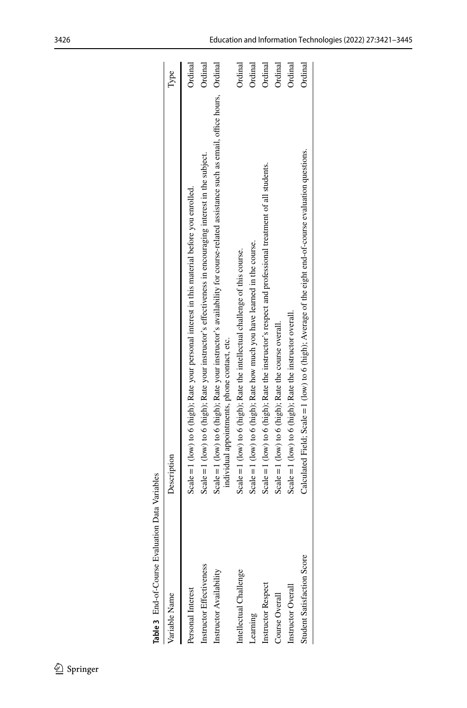<span id="page-5-0"></span>

| Table 3 End-of-Course Evaluation Data Variables |                                                                                                                                                                                       |         |
|-------------------------------------------------|---------------------------------------------------------------------------------------------------------------------------------------------------------------------------------------|---------|
| Variable Name                                   | Description                                                                                                                                                                           | lype    |
| Personal Interest                               | Scale = 1 (low) to 6 (high); Rate your personal interest in this material before you enrolled.                                                                                        | Ordinal |
| Instructor Effectiveness                        | Scale = $1$ (low) to 6 (high); Rate your instructor's effectiveness in encouraging interest in the subject.                                                                           | Ordinal |
| Instructor Availability                         | Scale = $1$ (low) to 6 (high); Rate your instructor's availability for course-related assistance such as email, office hours, Ordinal<br>individual appointments, phone contact, etc. |         |
| Intellectual Challenge                          | Scale = 1 (low) to 6 (high); Rate the intellectual challenge of this course.                                                                                                          | Ordinal |
| Learning                                        | Scale = 1 (low) to 6 (high); Rate how much you have learned in the course.                                                                                                            | Ordinal |
| Instructor Respect                              | Scale = 1 (low) to 6 (high); Rate the instructor's respect and professional treatment of all students.                                                                                | Ordinal |
| Course Overall                                  | Scale = 1 (low) to 6 (high); Rate the course overall.                                                                                                                                 | Ordinal |
| Instructor Overall                              | Scale = $1$ (low) to 6 (high); Rate the instructor overall.                                                                                                                           | Ordinal |
| Student Satisfaction Score                      | Calculated Field; Scale = $1$ (low) to 6 (high); Average of the eight end-of-course evaluation questions.                                                                             | Ordinal |
|                                                 |                                                                                                                                                                                       |         |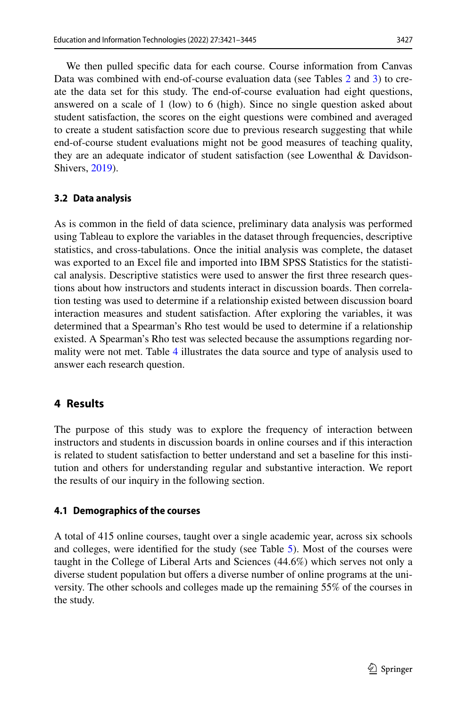We then pulled specifc data for each course. Course information from Canvas Data was combined with end-of-course evaluation data (see Tables [2](#page-4-0) and [3\)](#page-5-0) to create the data set for this study. The end-of-course evaluation had eight questions, answered on a scale of 1 (low) to 6 (high). Since no single question asked about student satisfaction, the scores on the eight questions were combined and averaged to create a student satisfaction score due to previous research suggesting that while end-of-course student evaluations might not be good measures of teaching quality, they are an adequate indicator of student satisfaction (see Lowenthal  $\&$  Davidson-Shivers, [2019\)](#page-22-11).

### **3.2 Data analysis**

As is common in the feld of data science, preliminary data analysis was performed using Tableau to explore the variables in the dataset through frequencies, descriptive statistics, and cross-tabulations. Once the initial analysis was complete, the dataset was exported to an Excel fle and imported into IBM SPSS Statistics for the statistical analysis. Descriptive statistics were used to answer the frst three research questions about how instructors and students interact in discussion boards. Then correlation testing was used to determine if a relationship existed between discussion board interaction measures and student satisfaction. After exploring the variables, it was determined that a Spearman's Rho test would be used to determine if a relationship existed. A Spearman's Rho test was selected because the assumptions regarding normality were not met. Table [4](#page-7-0) illustrates the data source and type of analysis used to answer each research question.

# **4 Results**

The purpose of this study was to explore the frequency of interaction between instructors and students in discussion boards in online courses and if this interaction is related to student satisfaction to better understand and set a baseline for this institution and others for understanding regular and substantive interaction. We report the results of our inquiry in the following section.

### **4.1 Demographics of the courses**

A total of 415 online courses, taught over a single academic year, across six schools and colleges, were identifed for the study (see Table [5\)](#page-8-0). Most of the courses were taught in the College of Liberal Arts and Sciences (44.6%) which serves not only a diverse student population but offers a diverse number of online programs at the university. The other schools and colleges made up the remaining 55% of the courses in the study.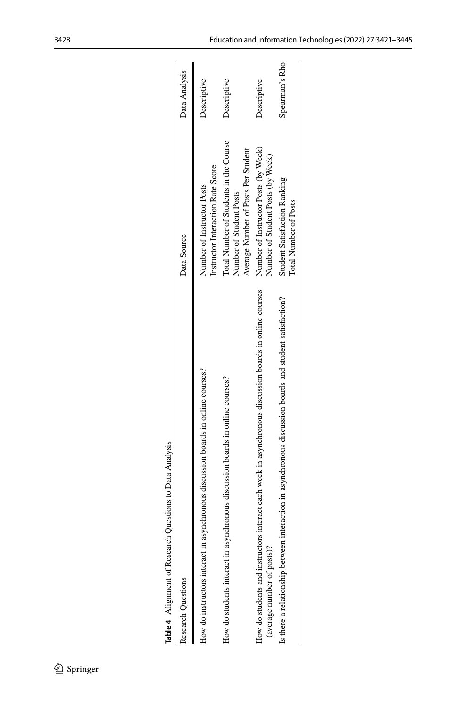| Table 4 Alignment of Research Questions to Data Analysis                                                                             |                                                                                                          |                |
|--------------------------------------------------------------------------------------------------------------------------------------|----------------------------------------------------------------------------------------------------------|----------------|
| Research Questions                                                                                                                   | Data Source                                                                                              | Data Analysis  |
| How do instructors interact in asynchronous discussion boards in online courses?                                                     | Instructor Interaction Rate Score<br>Number of Instructor Posts                                          | Descriptive    |
| How do students interact in asynchronous discussion boards in online courses?                                                        | Total Number of Students in the Course<br>Average Number of Posts Per Student<br>Number of Student Posts | Descriptive    |
| How do students and instructors interact each week in asynchronous discussion boards in online courses<br>(average number of posts)? | Number of Instructor Posts (by Week)<br>Number of Student Posts (by Week)                                | Descriptive    |
| interaction in asynchronous discussion boards and student satisfaction?<br>Is there a relationship between                           | <b>Student Satisfaction Ranking</b><br><b>Total Number of Posts</b>                                      | Spearman's Rho |
|                                                                                                                                      |                                                                                                          |                |

| ı<br>i              |
|---------------------|
|                     |
| $\frac{1}{2}$       |
|                     |
| l<br>ĺ<br>l<br>ı    |
| ١<br>J              |
| í<br>ׇ֚֕֡<br>ı<br>l |
| ١<br>1              |

<span id="page-7-0"></span> $\underline{\textcircled{\tiny 2}}$  Springer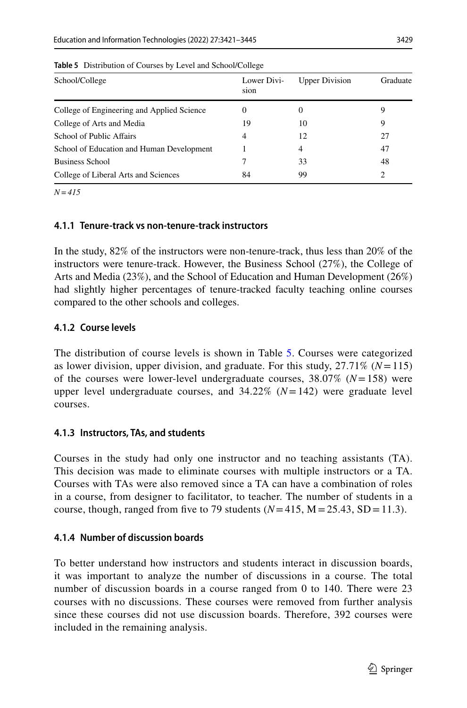| School/College                             | Lower Divi-<br>sion | <b>Upper Division</b> | Graduate |
|--------------------------------------------|---------------------|-----------------------|----------|
| College of Engineering and Applied Science | $\theta$            | $\theta$              |          |
| College of Arts and Media                  | 19                  | 10                    | 9        |
| School of Public Affairs                   | 4                   | 12                    | 27       |
| School of Education and Human Development  |                     | 4                     | 47       |
| <b>Business School</b>                     |                     | 33                    | 48       |
| College of Liberal Arts and Sciences       | 84                  | 99                    | 2        |
|                                            |                     |                       |          |

<span id="page-8-0"></span>**Table 5** Distribution of Courses by Level and School/College

*N=415*

### **4.1.1 Tenure-track vs non-tenure-track instructors**

In the study, 82% of the instructors were non-tenure-track, thus less than 20% of the instructors were tenure-track. However, the Business School (27%), the College of Arts and Media (23%), and the School of Education and Human Development (26%) had slightly higher percentages of tenure-tracked faculty teaching online courses compared to the other schools and colleges.

### **4.1.2 Course levels**

The distribution of course levels is shown in Table [5.](#page-8-0) Courses were categorized as lower division, upper division, and graduate. For this study, 27.71% (*N*=115) of the courses were lower-level undergraduate courses, 38.07% (*N*=158) were upper level undergraduate courses, and  $34.22\%$   $(N=142)$  were graduate level courses.

### **4.1.3 Instructors, TAs, and students**

Courses in the study had only one instructor and no teaching assistants (TA). This decision was made to eliminate courses with multiple instructors or a TA. Courses with TAs were also removed since a TA can have a combination of roles in a course, from designer to facilitator, to teacher. The number of students in a course, though, ranged from five to 79 students  $(N=415, M=25.43, SD=11.3)$ .

## **4.1.4 Number of discussion boards**

To better understand how instructors and students interact in discussion boards, it was important to analyze the number of discussions in a course. The total number of discussion boards in a course ranged from 0 to 140. There were 23 courses with no discussions. These courses were removed from further analysis since these courses did not use discussion boards. Therefore, 392 courses were included in the remaining analysis.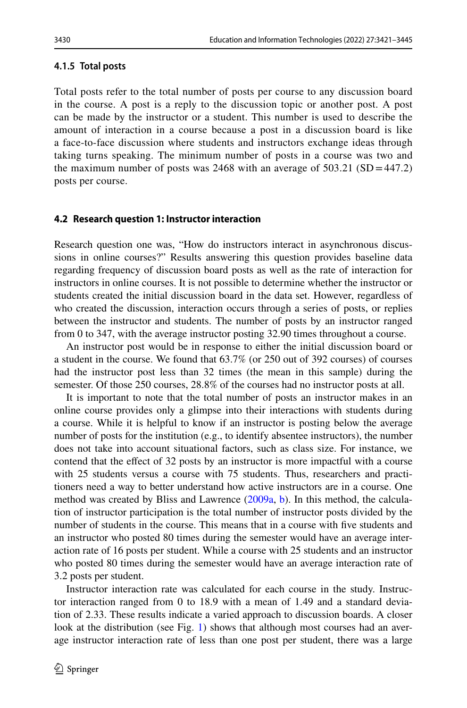#### **4.1.5 Total posts**

Total posts refer to the total number of posts per course to any discussion board in the course. A post is a reply to the discussion topic or another post. A post can be made by the instructor or a student. This number is used to describe the amount of interaction in a course because a post in a discussion board is like a face-to-face discussion where students and instructors exchange ideas through taking turns speaking. The minimum number of posts in a course was two and the maximum number of posts was 2468 with an average of  $503.21$  (SD = 447.2) posts per course.

#### **4.2 Research question 1: Instructor interaction**

Research question one was, "How do instructors interact in asynchronous discussions in online courses?" Results answering this question provides baseline data regarding frequency of discussion board posts as well as the rate of interaction for instructors in online courses. It is not possible to determine whether the instructor or students created the initial discussion board in the data set. However, regardless of who created the discussion, interaction occurs through a series of posts, or replies between the instructor and students. The number of posts by an instructor ranged from 0 to 347, with the average instructor posting 32.90 times throughout a course.

An instructor post would be in response to either the initial discussion board or a student in the course. We found that 63.7% (or 250 out of 392 courses) of courses had the instructor post less than 32 times (the mean in this sample) during the semester. Of those 250 courses, 28.8% of the courses had no instructor posts at all.

It is important to note that the total number of posts an instructor makes in an online course provides only a glimpse into their interactions with students during a course. While it is helpful to know if an instructor is posting below the average number of posts for the institution (e.g., to identify absentee instructors), the number does not take into account situational factors, such as class size. For instance, we contend that the efect of 32 posts by an instructor is more impactful with a course with 25 students versus a course with 75 students. Thus, researchers and practitioners need a way to better understand how active instructors are in a course. One method was created by Bliss and Lawrence [\(2009a](#page-21-4), [b](#page-21-5)). In this method, the calculation of instructor participation is the total number of instructor posts divided by the number of students in the course. This means that in a course with fve students and an instructor who posted 80 times during the semester would have an average interaction rate of 16 posts per student. While a course with 25 students and an instructor who posted 80 times during the semester would have an average interaction rate of 3.2 posts per student.

Instructor interaction rate was calculated for each course in the study. Instructor interaction ranged from 0 to 18.9 with a mean of 1.49 and a standard deviation of 2.33. These results indicate a varied approach to discussion boards. A closer look at the distribution (see Fig. [1](#page-10-0)) shows that although most courses had an average instructor interaction rate of less than one post per student, there was a large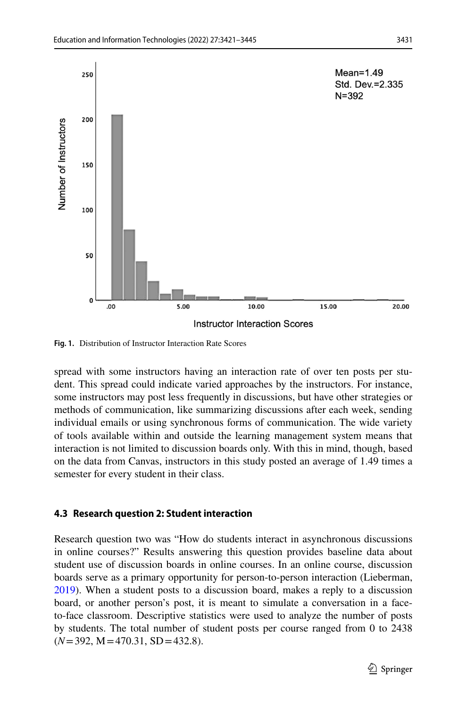

<span id="page-10-0"></span>**Fig. 1.** Distribution of Instructor Interaction Rate Scores

spread with some instructors having an interaction rate of over ten posts per student. This spread could indicate varied approaches by the instructors. For instance, some instructors may post less frequently in discussions, but have other strategies or methods of communication, like summarizing discussions after each week, sending individual emails or using synchronous forms of communication. The wide variety of tools available within and outside the learning management system means that interaction is not limited to discussion boards only. With this in mind, though, based on the data from Canvas, instructors in this study posted an average of 1.49 times a semester for every student in their class.

#### **4.3 Research question 2: Student interaction**

Research question two was "How do students interact in asynchronous discussions in online courses?" Results answering this question provides baseline data about student use of discussion boards in online courses. In an online course, discussion boards serve as a primary opportunity for person-to-person interaction (Lieberman, [2019](#page-22-12)). When a student posts to a discussion board, makes a reply to a discussion board, or another person's post, it is meant to simulate a conversation in a faceto-face classroom. Descriptive statistics were used to analyze the number of posts by students. The total number of student posts per course ranged from 0 to 2438 (*N*=392, M=470.31, SD=432.8).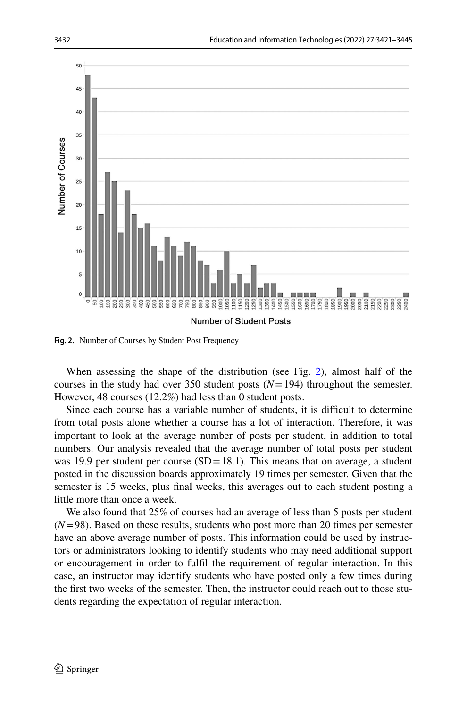

<span id="page-11-0"></span>**Fig. 2.** Number of Courses by Student Post Frequency

When assessing the shape of the distribution (see Fig. [2](#page-11-0)), almost half of the courses in the study had over 350 student posts  $(N=194)$  throughout the semester. However, 48 courses (12.2%) had less than 0 student posts.

Since each course has a variable number of students, it is difficult to determine from total posts alone whether a course has a lot of interaction. Therefore, it was important to look at the average number of posts per student, in addition to total numbers. Our analysis revealed that the average number of total posts per student was 19.9 per student per course  $(SD=18.1)$ . This means that on average, a student posted in the discussion boards approximately 19 times per semester. Given that the semester is 15 weeks, plus fnal weeks, this averages out to each student posting a little more than once a week.

We also found that 25% of courses had an average of less than 5 posts per student  $(N=98)$ . Based on these results, students who post more than 20 times per semester have an above average number of posts. This information could be used by instructors or administrators looking to identify students who may need additional support or encouragement in order to fulfl the requirement of regular interaction. In this case, an instructor may identify students who have posted only a few times during the frst two weeks of the semester. Then, the instructor could reach out to those students regarding the expectation of regular interaction.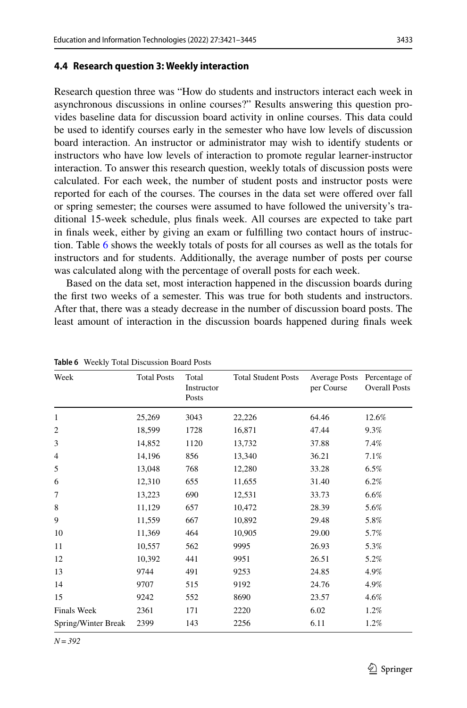#### **4.4 Research question 3: Weekly interaction**

Research question three was "How do students and instructors interact each week in asynchronous discussions in online courses?" Results answering this question provides baseline data for discussion board activity in online courses. This data could be used to identify courses early in the semester who have low levels of discussion board interaction. An instructor or administrator may wish to identify students or instructors who have low levels of interaction to promote regular learner-instructor interaction. To answer this research question, weekly totals of discussion posts were calculated. For each week, the number of student posts and instructor posts were reported for each of the courses. The courses in the data set were ofered over fall or spring semester; the courses were assumed to have followed the university's traditional 15-week schedule, plus fnals week. All courses are expected to take part in fnals week, either by giving an exam or fulflling two contact hours of instruction. Table [6](#page-12-0) shows the weekly totals of posts for all courses as well as the totals for instructors and for students. Additionally, the average number of posts per course was calculated along with the percentage of overall posts for each week.

Based on the data set, most interaction happened in the discussion boards during the frst two weeks of a semester. This was true for both students and instructors. After that, there was a steady decrease in the number of discussion board posts. The least amount of interaction in the discussion boards happened during fnals week

| Week                | <b>Total Posts</b> | Total<br>Instructor<br>Posts | <b>Total Student Posts</b> | <b>Average Posts</b><br>per Course | Percentage of<br><b>Overall Posts</b> |
|---------------------|--------------------|------------------------------|----------------------------|------------------------------------|---------------------------------------|
| 1                   | 25,269             | 3043                         | 22,226                     | 64.46                              | 12.6%                                 |
| $\overline{2}$      | 18,599             | 1728                         | 16,871                     | 47.44                              | 9.3%                                  |
| 3                   | 14,852             | 1120                         | 13,732                     | 37.88                              | 7.4%                                  |
| $\overline{4}$      | 14,196             | 856                          | 13,340                     | 36.21                              | 7.1%                                  |
| 5                   | 13,048             | 768                          | 12,280                     | 33.28                              | 6.5%                                  |
| 6                   | 12,310             | 655                          | 11,655                     | 31.40                              | 6.2%                                  |
| 7                   | 13,223             | 690                          | 12,531                     | 33.73                              | 6.6%                                  |
| 8                   | 11,129             | 657                          | 10,472                     | 28.39                              | 5.6%                                  |
| 9                   | 11,559             | 667                          | 10,892                     | 29.48                              | 5.8%                                  |
| 10                  | 11,369             | 464                          | 10,905                     | 29.00                              | 5.7%                                  |
| 11                  | 10,557             | 562                          | 9995                       | 26.93                              | 5.3%                                  |
| 12                  | 10,392             | 441                          | 9951                       | 26.51                              | 5.2%                                  |
| 13                  | 9744               | 491                          | 9253                       | 24.85                              | 4.9%                                  |
| 14                  | 9707               | 515                          | 9192                       | 24.76                              | 4.9%                                  |
| 15                  | 9242               | 552                          | 8690                       | 23.57                              | 4.6%                                  |
| <b>Finals Week</b>  | 2361               | 171                          | 2220                       | 6.02                               | 1.2%                                  |
| Spring/Winter Break | 2399               | 143                          | 2256                       | 6.11                               | 1.2%                                  |

<span id="page-12-0"></span>**Table 6** Weekly Total Discussion Board Posts

*N=392*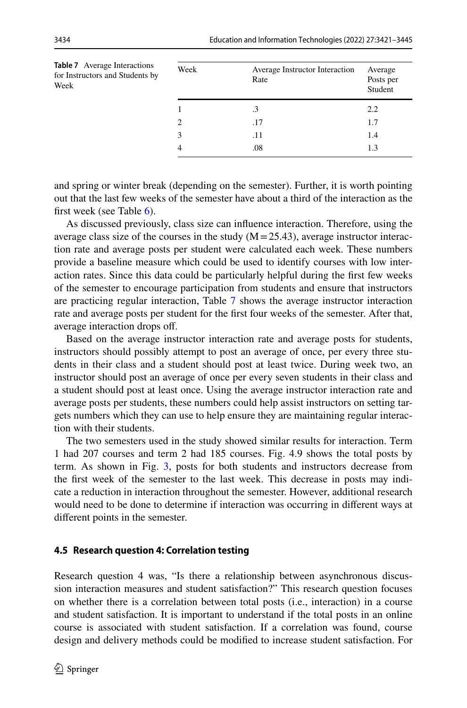<span id="page-13-0"></span>

| <b>Table 7</b> Average Interactions<br>for Instructors and Students by<br>Week | Week | Average Instructor Interaction<br>Rate | Average<br>Posts per<br>Student |
|--------------------------------------------------------------------------------|------|----------------------------------------|---------------------------------|
|                                                                                |      | $\cdot$ 3                              | 2.2                             |
|                                                                                | 2    | .17                                    | 1.7                             |
|                                                                                | 3    | .11                                    | 1.4                             |
|                                                                                | 4    | .08                                    | 1.3                             |

and spring or winter break (depending on the semester). Further, it is worth pointing out that the last few weeks of the semester have about a third of the interaction as the first week (see Table  $6$ ).

As discussed previously, class size can infuence interaction. Therefore, using the average class size of the courses in the study  $(M=25.43)$ , average instructor interaction rate and average posts per student were calculated each week. These numbers provide a baseline measure which could be used to identify courses with low interaction rates. Since this data could be particularly helpful during the frst few weeks of the semester to encourage participation from students and ensure that instructors are practicing regular interaction, Table [7](#page-13-0) shows the average instructor interaction rate and average posts per student for the frst four weeks of the semester. After that, average interaction drops of.

Based on the average instructor interaction rate and average posts for students, instructors should possibly attempt to post an average of once, per every three students in their class and a student should post at least twice. During week two, an instructor should post an average of once per every seven students in their class and a student should post at least once. Using the average instructor interaction rate and average posts per students, these numbers could help assist instructors on setting targets numbers which they can use to help ensure they are maintaining regular interaction with their students.

The two semesters used in the study showed similar results for interaction. Term 1 had 207 courses and term 2 had 185 courses. Fig. 4.9 shows the total posts by term. As shown in Fig. [3,](#page-14-0) posts for both students and instructors decrease from the frst week of the semester to the last week. This decrease in posts may indicate a reduction in interaction throughout the semester. However, additional research would need to be done to determine if interaction was occurring in diferent ways at diferent points in the semester.

#### **4.5 Research question 4: Correlation testing**

Research question 4 was, "Is there a relationship between asynchronous discussion interaction measures and student satisfaction?" This research question focuses on whether there is a correlation between total posts (i.e., interaction) in a course and student satisfaction. It is important to understand if the total posts in an online course is associated with student satisfaction. If a correlation was found, course design and delivery methods could be modifed to increase student satisfaction. For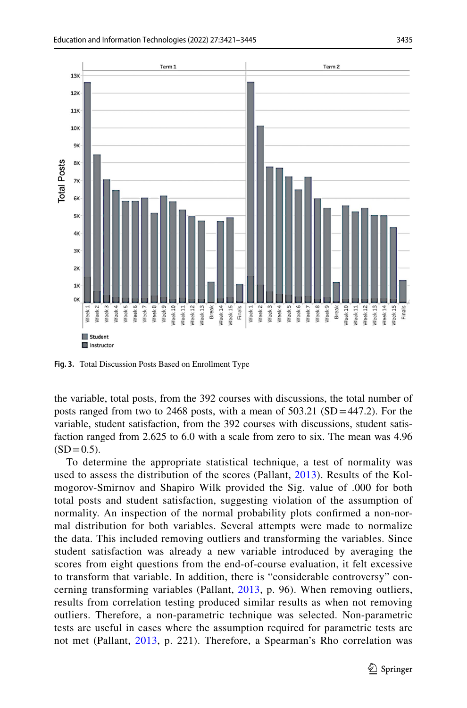

<span id="page-14-0"></span>**Fig. 3.** Total Discussion Posts Based on Enrollment Type

the variable, total posts, from the 392 courses with discussions, the total number of posts ranged from two to 2468 posts, with a mean of  $503.21$  (SD=447.2). For the variable, student satisfaction, from the 392 courses with discussions, student satisfaction ranged from 2.625 to 6.0 with a scale from zero to six. The mean was 4.96  $(SD=0.5)$ .

To determine the appropriate statistical technique, a test of normality was used to assess the distribution of the scores (Pallant, [2013](#page-23-11)). Results of the Kolmogorov-Smirnov and Shapiro Wilk provided the Sig. value of .000 for both total posts and student satisfaction, suggesting violation of the assumption of normality. An inspection of the normal probability plots confrmed a non-normal distribution for both variables. Several attempts were made to normalize the data. This included removing outliers and transforming the variables. Since student satisfaction was already a new variable introduced by averaging the scores from eight questions from the end-of-course evaluation, it felt excessive to transform that variable. In addition, there is "considerable controversy" concerning transforming variables (Pallant, [2013,](#page-23-11) p. 96). When removing outliers, results from correlation testing produced similar results as when not removing outliers. Therefore, a non-parametric technique was selected. Non-parametric tests are useful in cases where the assumption required for parametric tests are not met (Pallant, [2013](#page-23-11), p. 221). Therefore, a Spearman's Rho correlation was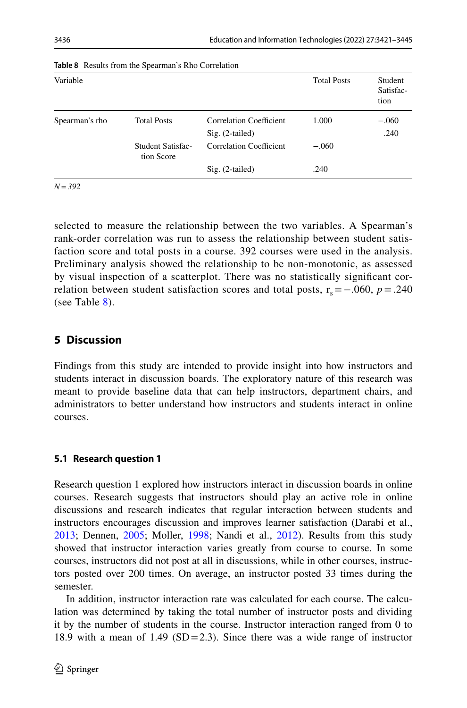| Variable       |                                 |                                              | <b>Total Posts</b> | Student<br>Satisfac-<br>tion |
|----------------|---------------------------------|----------------------------------------------|--------------------|------------------------------|
| Spearman's rho | <b>Total Posts</b>              | Correlation Coefficient<br>$Sig. (2-tailed)$ | 1.000              | $-.060$<br>.240              |
|                | Student Satisfac-<br>tion Score | Correlation Coefficient                      | $-.060$            |                              |
|                |                                 | $Sig. (2-tailed)$                            | .240               |                              |

<span id="page-15-0"></span>**Table 8** Results from the Spearman's Rho Correlation

*N=392*

selected to measure the relationship between the two variables. A Spearman's rank-order correlation was run to assess the relationship between student satisfaction score and total posts in a course. 392 courses were used in the analysis. Preliminary analysis showed the relationship to be non-monotonic, as assessed by visual inspection of a scatterplot. There was no statistically signifcant correlation between student satisfaction scores and total posts,  $r_s = -.060$ ,  $p = .240$ (see Table [8\)](#page-15-0).

# **5 Discussion**

Findings from this study are intended to provide insight into how instructors and students interact in discussion boards. The exploratory nature of this research was meant to provide baseline data that can help instructors, department chairs, and administrators to better understand how instructors and students interact in online courses.

## **5.1 Research question 1**

Research question 1 explored how instructors interact in discussion boards in online courses. Research suggests that instructors should play an active role in online discussions and research indicates that regular interaction between students and instructors encourages discussion and improves learner satisfaction (Darabi et al., [2013](#page-22-13); Dennen, [2005](#page-22-14); Moller, [1998;](#page-23-12) Nandi et al., [2012](#page-23-10)). Results from this study showed that instructor interaction varies greatly from course to course. In some courses, instructors did not post at all in discussions, while in other courses, instructors posted over 200 times. On average, an instructor posted 33 times during the semester.

In addition, instructor interaction rate was calculated for each course. The calculation was determined by taking the total number of instructor posts and dividing it by the number of students in the course. Instructor interaction ranged from 0 to 18.9 with a mean of 1.49 (SD=2.3). Since there was a wide range of instructor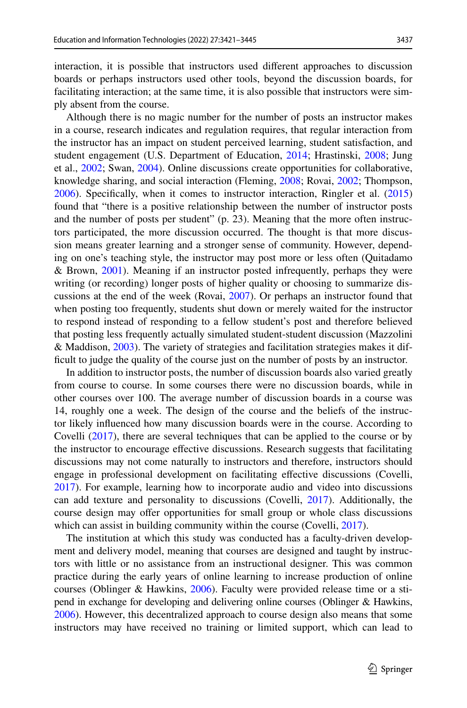interaction, it is possible that instructors used diferent approaches to discussion boards or perhaps instructors used other tools, beyond the discussion boards, for facilitating interaction; at the same time, it is also possible that instructors were simply absent from the course.

Although there is no magic number for the number of posts an instructor makes in a course, research indicates and regulation requires, that regular interaction from the instructor has an impact on student perceived learning, student satisfaction, and student engagement (U.S. Department of Education, [2014;](#page-24-1) Hrastinski, [2008](#page-22-15); Jung et al., [2002](#page-22-5); Swan, [2004](#page-24-2)). Online discussions create opportunities for collaborative, knowledge sharing, and social interaction (Fleming, [2008](#page-22-16); Rovai, [2002](#page-23-13); Thompson, [2006](#page-24-4)). Specifcally, when it comes to instructor interaction, Ringler et al. [\(2015](#page-23-14)) found that "there is a positive relationship between the number of instructor posts and the number of posts per student" (p. 23). Meaning that the more often instructors participated, the more discussion occurred. The thought is that more discussion means greater learning and a stronger sense of community. However, depending on one's teaching style, the instructor may post more or less often (Quitadamo & Brown, [2001\)](#page-23-15). Meaning if an instructor posted infrequently, perhaps they were writing (or recording) longer posts of higher quality or choosing to summarize discussions at the end of the week (Rovai, [2007](#page-23-16)). Or perhaps an instructor found that when posting too frequently, students shut down or merely waited for the instructor to respond instead of responding to a fellow student's post and therefore believed that posting less frequently actually simulated student-student discussion (Mazzolini & Maddison, [2003\)](#page-23-17). The variety of strategies and facilitation strategies makes it diffcult to judge the quality of the course just on the number of posts by an instructor.

In addition to instructor posts, the number of discussion boards also varied greatly from course to course. In some courses there were no discussion boards, while in other courses over 100. The average number of discussion boards in a course was 14, roughly one a week. The design of the course and the beliefs of the instructor likely infuenced how many discussion boards were in the course. According to Covelli ([2017\)](#page-21-6), there are several techniques that can be applied to the course or by the instructor to encourage efective discussions. Research suggests that facilitating discussions may not come naturally to instructors and therefore, instructors should engage in professional development on facilitating efective discussions (Covelli, [2017](#page-21-6)). For example, learning how to incorporate audio and video into discussions can add texture and personality to discussions (Covelli, [2017](#page-21-6)). Additionally, the course design may ofer opportunities for small group or whole class discussions which can assist in building community within the course (Covelli, [2017](#page-21-6)).

The institution at which this study was conducted has a faculty-driven development and delivery model, meaning that courses are designed and taught by instructors with little or no assistance from an instructional designer. This was common practice during the early years of online learning to increase production of online courses (Oblinger & Hawkins, [2006](#page-23-18)). Faculty were provided release time or a stipend in exchange for developing and delivering online courses (Oblinger & Hawkins, [2006](#page-23-18)). However, this decentralized approach to course design also means that some instructors may have received no training or limited support, which can lead to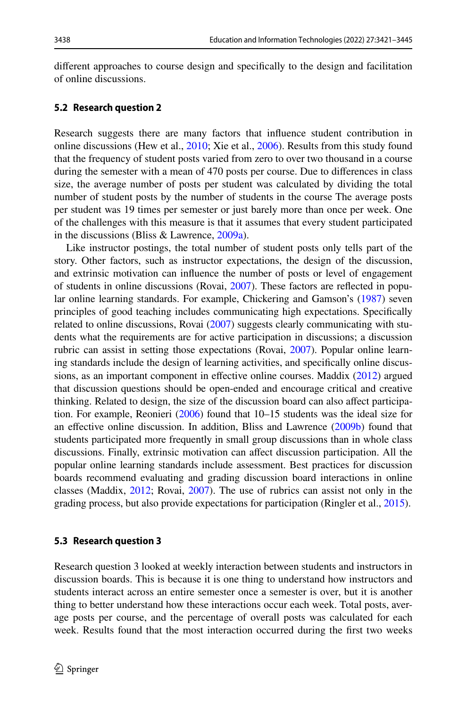diferent approaches to course design and specifcally to the design and facilitation of online discussions.

#### **5.2 Research question 2**

Research suggests there are many factors that infuence student contribution in online discussions (Hew et al., [2010;](#page-22-9) Xie et al., [2006](#page-24-3)). Results from this study found that the frequency of student posts varied from zero to over two thousand in a course during the semester with a mean of 470 posts per course. Due to diferences in class size, the average number of posts per student was calculated by dividing the total number of student posts by the number of students in the course The average posts per student was 19 times per semester or just barely more than once per week. One of the challenges with this measure is that it assumes that every student participated in the discussions (Bliss & Lawrence, [2009a\)](#page-21-4).

Like instructor postings, the total number of student posts only tells part of the story. Other factors, such as instructor expectations, the design of the discussion, and extrinsic motivation can infuence the number of posts or level of engagement of students in online discussions (Rovai, [2007\)](#page-23-16). These factors are refected in popular online learning standards. For example, Chickering and Gamson's ([1987](#page-21-7)) seven principles of good teaching includes communicating high expectations. Specifcally related to online discussions, Rovai ([2007](#page-23-16)) suggests clearly communicating with students what the requirements are for active participation in discussions; a discussion rubric can assist in setting those expectations (Rovai, [2007\)](#page-23-16). Popular online learning standards include the design of learning activities, and specifcally online discus-sions, as an important component in effective online courses. Maddix ([2012](#page-23-19)) argued that discussion questions should be open-ended and encourage critical and creative thinking. Related to design, the size of the discussion board can also afect participation. For example, Reonieri [\(2006](#page-23-20)) found that 10–15 students was the ideal size for an efective online discussion. In addition, Bliss and Lawrence [\(2009b\)](#page-21-5) found that students participated more frequently in small group discussions than in whole class discussions. Finally, extrinsic motivation can afect discussion participation. All the popular online learning standards include assessment. Best practices for discussion boards recommend evaluating and grading discussion board interactions in online classes (Maddix, [2012;](#page-23-19) Rovai, [2007](#page-23-16)). The use of rubrics can assist not only in the grading process, but also provide expectations for participation (Ringler et al., [2015](#page-23-14)).

#### **5.3 Research question 3**

Research question 3 looked at weekly interaction between students and instructors in discussion boards. This is because it is one thing to understand how instructors and students interact across an entire semester once a semester is over, but it is another thing to better understand how these interactions occur each week. Total posts, average posts per course, and the percentage of overall posts was calculated for each week. Results found that the most interaction occurred during the frst two weeks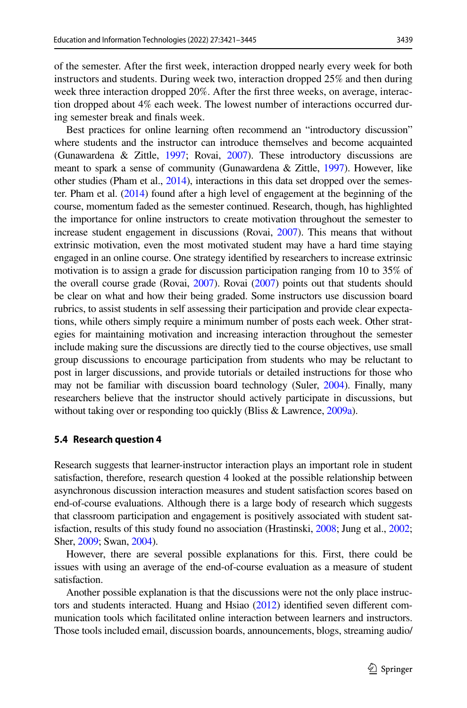of the semester. After the frst week, interaction dropped nearly every week for both instructors and students. During week two, interaction dropped 25% and then during week three interaction dropped 20%. After the frst three weeks, on average, interaction dropped about 4% each week. The lowest number of interactions occurred during semester break and fnals week.

Best practices for online learning often recommend an "introductory discussion" where students and the instructor can introduce themselves and become acquainted (Gunawardena & Zittle, [1997;](#page-22-17) Rovai, [2007](#page-23-16)). These introductory discussions are meant to spark a sense of community (Gunawardena & Zittle, [1997](#page-22-17)). However, like other studies (Pham et al., [2014\)](#page-23-21), interactions in this data set dropped over the semester. Pham et al. ([2014](#page-23-21)) found after a high level of engagement at the beginning of the course, momentum faded as the semester continued. Research, though, has highlighted the importance for online instructors to create motivation throughout the semester to increase student engagement in discussions (Rovai, [2007](#page-23-16)). This means that without extrinsic motivation, even the most motivated student may have a hard time staying engaged in an online course. One strategy identifed by researchers to increase extrinsic motivation is to assign a grade for discussion participation ranging from 10 to 35% of the overall course grade (Rovai, [2007](#page-23-16)). Rovai ([2007](#page-23-16)) points out that students should be clear on what and how their being graded. Some instructors use discussion board rubrics, to assist students in self assessing their participation and provide clear expectations, while others simply require a minimum number of posts each week. Other strategies for maintaining motivation and increasing interaction throughout the semester include making sure the discussions are directly tied to the course objectives, use small group discussions to encourage participation from students who may be reluctant to post in larger discussions, and provide tutorials or detailed instructions for those who may not be familiar with discussion board technology (Suler, [2004](#page-24-5)). Finally, many researchers believe that the instructor should actively participate in discussions, but without taking over or responding too quickly (Bliss & Lawrence, [2009a](#page-21-4)).

#### **5.4 Research question 4**

Research suggests that learner-instructor interaction plays an important role in student satisfaction, therefore, research question 4 looked at the possible relationship between asynchronous discussion interaction measures and student satisfaction scores based on end-of-course evaluations. Although there is a large body of research which suggests that classroom participation and engagement is positively associated with student satisfaction, results of this study found no association (Hrastinski, [2008;](#page-22-15) Jung et al., [2002;](#page-22-5) Sher, [2009;](#page-23-4) Swan, [2004](#page-24-2)).

However, there are several possible explanations for this. First, there could be issues with using an average of the end-of-course evaluation as a measure of student satisfaction.

Another possible explanation is that the discussions were not the only place instructors and students interacted. Huang and Hsiao [\(2012\)](#page-22-18) identifed seven diferent communication tools which facilitated online interaction between learners and instructors. Those tools included email, discussion boards, announcements, blogs, streaming audio/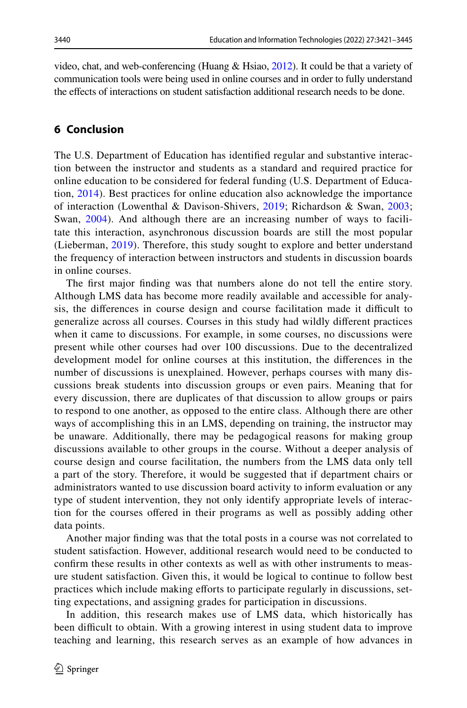video, chat, and web-conferencing (Huang & Hsiao, [2012](#page-22-18)). It could be that a variety of communication tools were being used in online courses and in order to fully understand the efects of interactions on student satisfaction additional research needs to be done.

# **6 Conclusion**

The U.S. Department of Education has identifed regular and substantive interaction between the instructor and students as a standard and required practice for online education to be considered for federal funding (U.S. Department of Education, [2014](#page-24-1)). Best practices for online education also acknowledge the importance of interaction (Lowenthal & Davison-Shivers, [2019](#page-22-11); Richardson & Swan, [2003;](#page-23-3) Swan, [2004](#page-24-2)). And although there are an increasing number of ways to facilitate this interaction, asynchronous discussion boards are still the most popular (Lieberman, [2019](#page-22-12)). Therefore, this study sought to explore and better understand the frequency of interaction between instructors and students in discussion boards in online courses.

The frst major fnding was that numbers alone do not tell the entire story. Although LMS data has become more readily available and accessible for analysis, the differences in course design and course facilitation made it difficult to generalize across all courses. Courses in this study had wildly diferent practices when it came to discussions. For example, in some courses, no discussions were present while other courses had over 100 discussions. Due to the decentralized development model for online courses at this institution, the diferences in the number of discussions is unexplained. However, perhaps courses with many discussions break students into discussion groups or even pairs. Meaning that for every discussion, there are duplicates of that discussion to allow groups or pairs to respond to one another, as opposed to the entire class. Although there are other ways of accomplishing this in an LMS, depending on training, the instructor may be unaware. Additionally, there may be pedagogical reasons for making group discussions available to other groups in the course. Without a deeper analysis of course design and course facilitation, the numbers from the LMS data only tell a part of the story. Therefore, it would be suggested that if department chairs or administrators wanted to use discussion board activity to inform evaluation or any type of student intervention, they not only identify appropriate levels of interaction for the courses ofered in their programs as well as possibly adding other data points.

Another major fnding was that the total posts in a course was not correlated to student satisfaction. However, additional research would need to be conducted to confrm these results in other contexts as well as with other instruments to measure student satisfaction. Given this, it would be logical to continue to follow best practices which include making eforts to participate regularly in discussions, setting expectations, and assigning grades for participation in discussions.

In addition, this research makes use of LMS data, which historically has been difficult to obtain. With a growing interest in using student data to improve teaching and learning, this research serves as an example of how advances in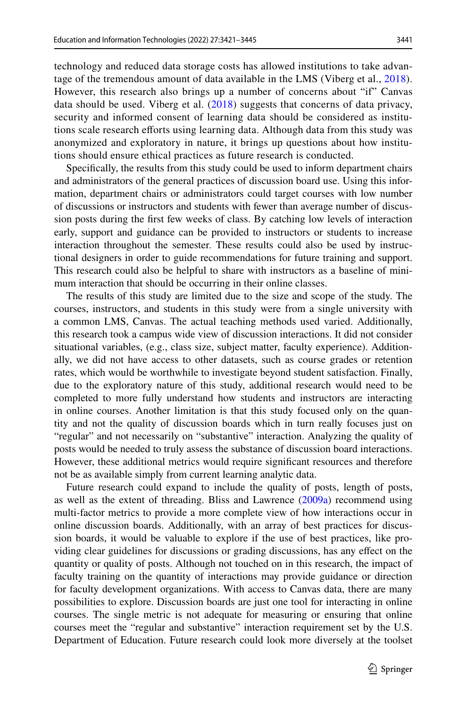technology and reduced data storage costs has allowed institutions to take advantage of the tremendous amount of data available in the LMS (Viberg et al., [2018](#page-24-6)). However, this research also brings up a number of concerns about "if" Canvas data should be used. Viberg et al. ([2018](#page-24-6)) suggests that concerns of data privacy, security and informed consent of learning data should be considered as institutions scale research efforts using learning data. Although data from this study was anonymized and exploratory in nature, it brings up questions about how institutions should ensure ethical practices as future research is conducted.

Specifcally, the results from this study could be used to inform department chairs and administrators of the general practices of discussion board use. Using this information, department chairs or administrators could target courses with low number of discussions or instructors and students with fewer than average number of discussion posts during the frst few weeks of class. By catching low levels of interaction early, support and guidance can be provided to instructors or students to increase interaction throughout the semester. These results could also be used by instructional designers in order to guide recommendations for future training and support. This research could also be helpful to share with instructors as a baseline of minimum interaction that should be occurring in their online classes.

The results of this study are limited due to the size and scope of the study. The courses, instructors, and students in this study were from a single university with a common LMS, Canvas. The actual teaching methods used varied. Additionally, this research took a campus wide view of discussion interactions. It did not consider situational variables, (e.g., class size, subject matter, faculty experience). Additionally, we did not have access to other datasets, such as course grades or retention rates, which would be worthwhile to investigate beyond student satisfaction. Finally, due to the exploratory nature of this study, additional research would need to be completed to more fully understand how students and instructors are interacting in online courses. Another limitation is that this study focused only on the quantity and not the quality of discussion boards which in turn really focuses just on "regular" and not necessarily on "substantive" interaction. Analyzing the quality of posts would be needed to truly assess the substance of discussion board interactions. However, these additional metrics would require signifcant resources and therefore not be as available simply from current learning analytic data.

Future research could expand to include the quality of posts, length of posts, as well as the extent of threading. Bliss and Lawrence [\(2009a\)](#page-21-4) recommend using multi-factor metrics to provide a more complete view of how interactions occur in online discussion boards. Additionally, with an array of best practices for discussion boards, it would be valuable to explore if the use of best practices, like providing clear guidelines for discussions or grading discussions, has any efect on the quantity or quality of posts. Although not touched on in this research, the impact of faculty training on the quantity of interactions may provide guidance or direction for faculty development organizations. With access to Canvas data, there are many possibilities to explore. Discussion boards are just one tool for interacting in online courses. The single metric is not adequate for measuring or ensuring that online courses meet the "regular and substantive" interaction requirement set by the U.S. Department of Education. Future research could look more diversely at the toolset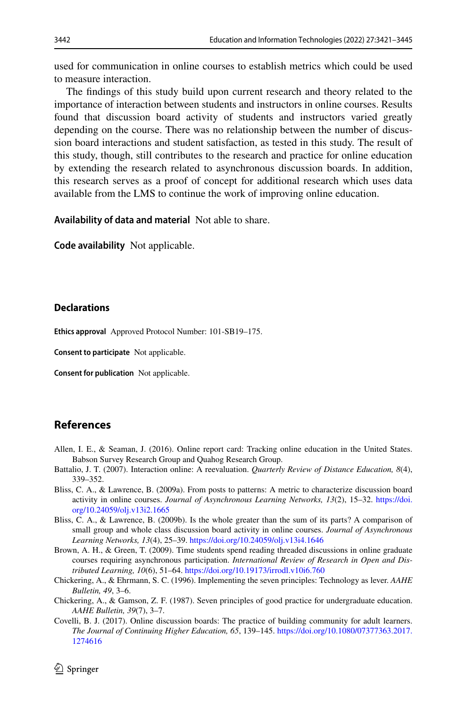used for communication in online courses to establish metrics which could be used to measure interaction.

The fndings of this study build upon current research and theory related to the importance of interaction between students and instructors in online courses. Results found that discussion board activity of students and instructors varied greatly depending on the course. There was no relationship between the number of discussion board interactions and student satisfaction, as tested in this study. The result of this study, though, still contributes to the research and practice for online education by extending the research related to asynchronous discussion boards. In addition, this research serves as a proof of concept for additional research which uses data available from the LMS to continue the work of improving online education.

**Availability of data and material** Not able to share.

**Code availability** Not applicable.

#### **Declarations**

**Ethics approval** Approved Protocol Number: 101-SB19–175.

**Consent to participate** Not applicable.

**Consent for publication** Not applicable.

### **References**

- <span id="page-21-0"></span>Allen, I. E., & Seaman, J. (2016). Online report card: Tracking online education in the United States. Babson Survey Research Group and Quahog Research Group.
- <span id="page-21-1"></span>Battalio, J. T. (2007). Interaction online: A reevaluation. *Quarterly Review of Distance Education, 8*(4), 339–352.
- <span id="page-21-4"></span>Bliss, C. A., & Lawrence, B. (2009a). From posts to patterns: A metric to characterize discussion board activity in online courses. *Journal of Asynchronous Learning Networks, 13*(2), 15–32. [https://doi.](https://doi.org/10.24059/olj.v13i2.1665) [org/10.24059/olj.v13i2.1665](https://doi.org/10.24059/olj.v13i2.1665)
- <span id="page-21-5"></span>Bliss, C. A., & Lawrence, B. (2009b). Is the whole greater than the sum of its parts? A comparison of small group and whole class discussion board activity in online courses. *Journal of Asynchronous Learning Networks, 13*(4), 25–39. <https://doi.org/10.24059/olj.v13i4.1646>
- <span id="page-21-3"></span>Brown, A. H., & Green, T. (2009). Time students spend reading threaded discussions in online graduate courses requiring asynchronous participation. *International Review of Research in Open and Distributed Learning, 10*(6), 51–64.<https://doi.org/10.19173/irrodl.v10i6.760>
- <span id="page-21-2"></span>Chickering, A., & Ehrmann, S. C. (1996). Implementing the seven principles: Technology as lever. *AAHE Bulletin, 49*, 3–6.
- <span id="page-21-7"></span>Chickering, A., & Gamson, Z. F. (1987). Seven principles of good practice for undergraduate education. *AAHE Bulletin, 39*(7), 3–7.
- <span id="page-21-6"></span>Covelli, B. J. (2017). Online discussion boards: The practice of building community for adult learners. *The Journal of Continuing Higher Education, 65*, 139–145. [https://doi.org/10.1080/07377363.2017.](https://doi.org/10.1080/07377363.2017.1274616) [1274616](https://doi.org/10.1080/07377363.2017.1274616)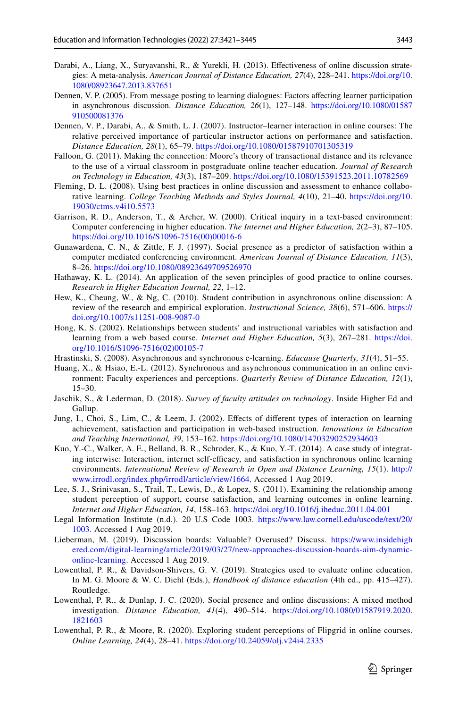- <span id="page-22-13"></span>Darabi, A., Liang, X., Suryavanshi, R., & Yurekli, H. (2013). Efectiveness of online discussion strategies: A meta-analysis. *American Journal of Distance Education, 27*(4), 228–241. [https://doi.org/10.](https://doi.org/10.1080/08923647.2013.837651) [1080/08923647.2013.837651](https://doi.org/10.1080/08923647.2013.837651)
- <span id="page-22-14"></span>Dennen, V. P. (2005). From message posting to learning dialogues: Factors afecting learner participation in asynchronous discussion. *Distance Education, 26*(1), 127–148. [https://doi.org/10.1080/01587](https://doi.org/10.1080/01587910500081376) [910500081376](https://doi.org/10.1080/01587910500081376)
- <span id="page-22-7"></span>Dennen, V. P., Darabi, A., & Smith, L. J. (2007). Instructor–learner interaction in online courses: The relative perceived importance of particular instructor actions on performance and satisfaction. *Distance Education, 28*(1), 65–79.<https://doi.org/10.1080/01587910701305319>
- <span id="page-22-3"></span>Falloon, G. (2011). Making the connection: Moore's theory of transactional distance and its relevance to the use of a virtual classroom in postgraduate online teacher education. *Journal of Research on Technology in Education, 43*(3), 187–209. <https://doi.org/10.1080/15391523.2011.10782569>
- <span id="page-22-16"></span>Fleming, D. L. (2008). Using best practices in online discussion and assessment to enhance collaborative learning. *College Teaching Methods and Styles Journal, 4*(10), 21–40. [https://doi.org/10.](https://doi.org/10.19030/ctms.v4i10.5573) [19030/ctms.v4i10.5573](https://doi.org/10.19030/ctms.v4i10.5573)
- Garrison, R. D., Anderson, T., & Archer, W. (2000). Critical inquiry in a text-based environment: Computer conferencing in higher education. *The Internet and Higher Education, 2*(2–3), 87–105. [https://doi.org/10.1016/S1096-7516\(00\)00016-6](https://doi.org/10.1016/S1096-7516(00)00016-6)
- <span id="page-22-17"></span>Gunawardena, C. N., & Zittle, F. J. (1997). Social presence as a predictor of satisfaction within a computer mediated conferencing environment. *American Journal of Distance Education, 11*(3), 8–26. <https://doi.org/10.1080/08923649709526970>
- Hathaway, K. L. (2014). An application of the seven principles of good practice to online courses. *Research in Higher Education Journal, 22*, 1–12.
- <span id="page-22-9"></span>Hew, K., Cheung, W., & Ng, C. (2010). Student contribution in asynchronous online discussion: A review of the research and empirical exploration. *Instructional Science, 38*(6), 571–606. [https://](https://doi.org/10.1007/s11251-008-9087-0) [doi.org/10.1007/s11251-008-9087-0](https://doi.org/10.1007/s11251-008-9087-0)
- <span id="page-22-4"></span>Hong, K. S. (2002). Relationships between students' and instructional variables with satisfaction and learning from a web based course. *Internet and Higher Education, 5*(3), 267–281. [https://doi.](https://doi.org/10.1016/S1096-7516(02)00105-7) [org/10.1016/S1096-7516\(02\)00105-7](https://doi.org/10.1016/S1096-7516(02)00105-7)
- <span id="page-22-15"></span>Hrastinski, S. (2008). Asynchronous and synchronous e-learning. *Educause Quarterly, 31*(4), 51–55.
- <span id="page-22-18"></span>Huang, X., & Hsiao, E.-L. (2012). Synchronous and asynchronous communication in an online environment: Faculty experiences and perceptions. *Quarterly Review of Distance Education, 12*(1), 15–30.
- <span id="page-22-0"></span>Jaschik, S., & Lederman, D. (2018). *Survey of faculty attitudes on technology*. Inside Higher Ed and Gallup.
- <span id="page-22-5"></span>Jung, I., Choi, S., Lim, C., & Leem, J. (2002). Efects of diferent types of interaction on learning achievement, satisfaction and participation in web-based instruction. *Innovations in Education and Teaching International, 39*, 153–162. <https://doi.org/10.1080/14703290252934603>
- <span id="page-22-6"></span>Kuo, Y.-C., Walker, A. E., Belland, B. R., Schroder, K., & Kuo, Y.-T. (2014). A case study of integrating interwise: Interaction, internet self-efficacy, and satisfaction in synchronous online learning environments. *International Review of Research in Open and Distance Learning, 15*(1). [http://](http://www.irrodl.org/index.php/irrodl/article/view/1664) [www.irrodl.org/index.php/irrodl/article/view/1664](http://www.irrodl.org/index.php/irrodl/article/view/1664). Accessed 1 Aug 2019.
- <span id="page-22-1"></span>Lee, S. J., Srinivasan, S., Trail, T., Lewis, D., & Lopez, S. (2011). Examining the relationship among student perception of support, course satisfaction, and learning outcomes in online learning. *Internet and Higher Education, 14*, 158–163. <https://doi.org/10.1016/j.iheduc.2011.04.001>
- <span id="page-22-2"></span>Legal Information Institute (n.d.). 20 U.S Code 1003. [https://www.law.cornell.edu/uscode/text/20/](https://www.law.cornell.edu/uscode/text/20/1003) [1003](https://www.law.cornell.edu/uscode/text/20/1003). Accessed 1 Aug 2019.
- <span id="page-22-12"></span>Lieberman, M. (2019). Discussion boards: Valuable? Overused? Discuss. [https://www.insidehigh](https://www.insidehighered.com/digital-learning/article/2019/03/27/new-approaches-discussion-boards-aim-dynamic-online-learning) [ered.com/digital-learning/article/2019/03/27/new-approaches-discussion-boards-aim-dynamic](https://www.insidehighered.com/digital-learning/article/2019/03/27/new-approaches-discussion-boards-aim-dynamic-online-learning)[online-learning.](https://www.insidehighered.com/digital-learning/article/2019/03/27/new-approaches-discussion-boards-aim-dynamic-online-learning) Accessed 1 Aug 2019.
- <span id="page-22-11"></span>Lowenthal, P. R., & Davidson-Shivers, G. V. (2019). Strategies used to evaluate online education. In M. G. Moore & W. C. Diehl (Eds.), *Handbook of distance education* (4th ed., pp. 415–427). Routledge.
- <span id="page-22-10"></span>Lowenthal, P. R., & Dunlap, J. C. (2020). Social presence and online discussions: A mixed method investigation. *Distance Education, 41*(4), 490–514. h[ttps://doi.org/10.1080/01587919.2020.](https://doi.org/10.1080/01587919.2020.1821603) [1821603](https://doi.org/10.1080/01587919.2020.1821603)
- <span id="page-22-8"></span>Lowenthal, P. R., & Moore, R. (2020). Exploring student perceptions of Flipgrid in online courses. *Online Learning, 24*(4), 28–41. <https://doi.org/10.24059/olj.v24i4.2335>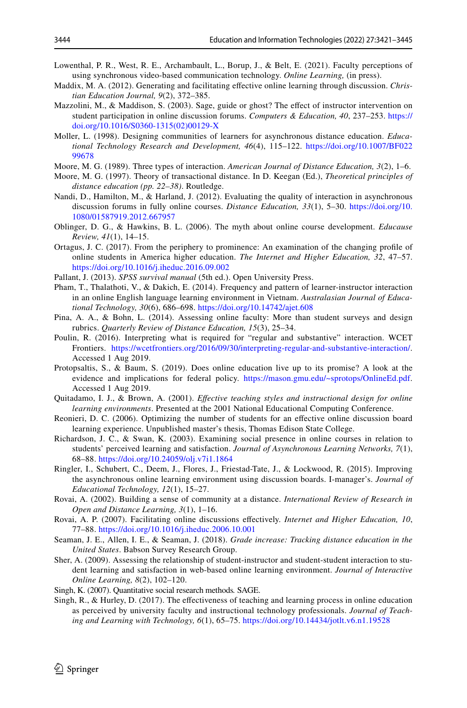- <span id="page-23-9"></span>Lowenthal, P. R., West, R. E., Archambault, L., Borup, J., & Belt, E. (2021). Faculty perceptions of using synchronous video-based communication technology. *Online Learning,* (in press).
- <span id="page-23-19"></span>Maddix, M. A. (2012). Generating and facilitating efective online learning through discussion. *Christian Education Journal, 9*(2), 372–385.
- <span id="page-23-17"></span>Mazzolini, M., & Maddison, S. (2003). Sage, guide or ghost? The effect of instructor intervention on student participation in online discussion forums. *Computers & Education, 40*, 237–253. [https://](https://doi.org/10.1016/S0360-1315(02)00129-X) [doi.org/10.1016/S0360-1315\(02\)00129-X](https://doi.org/10.1016/S0360-1315(02)00129-X)
- <span id="page-23-12"></span>Moller, L. (1998). Designing communities of learners for asynchronous distance education. *Educational Technology Research and Development, 46*(4), 115–122. [https://doi.org/10.1007/BF022](https://doi.org/10.1007/BF02299678) [99678](https://doi.org/10.1007/BF02299678)
- <span id="page-23-7"></span>Moore, M. G. (1989). Three types of interaction. *American Journal of Distance Education, 3*(2), 1–6.
- <span id="page-23-8"></span>Moore, M. G. (1997). Theory of transactional distance. In D. Keegan (Ed.), *Theoretical principles of distance education (pp. 22–38)*. Routledge.
- <span id="page-23-10"></span>Nandi, D., Hamilton, M., & Harland, J. (2012). Evaluating the quality of interaction in asynchronous discussion forums in fully online courses. *Distance Education, 33*(1), 5–30. [https://doi.org/10.](https://doi.org/10.1080/01587919.2012.667957) [1080/01587919.2012.667957](https://doi.org/10.1080/01587919.2012.667957)
- <span id="page-23-18"></span>Oblinger, D. G., & Hawkins, B. L. (2006). The myth about online course development. *Educause Review, 41*(1), 14–15.
- <span id="page-23-1"></span>Ortagus, J. C. (2017). From the periphery to prominence: An examination of the changing profle of online students in America higher education. *The Internet and Higher Education, 32*, 47–57. <https://doi.org/10.1016/j.iheduc.2016.09.002>
- <span id="page-23-11"></span>Pallant, J. (2013). *SPSS survival manual* (5th ed.). Open University Press.
- <span id="page-23-21"></span>Pham, T., Thalathoti, V., & Dakich, E. (2014). Frequency and pattern of learner-instructor interaction in an online English language learning environment in Vietnam. *Australasian Journal of Educational Technology, 30*(6), 686–698.<https://doi.org/10.14742/ajet.608>
- <span id="page-23-5"></span>Pina, A. A., & Bohn, L. (2014). Assessing online faculty: More than student surveys and design rubrics. *Quarterly Review of Distance Education, 15*(3), 25–34.
- Poulin, R. (2016). Interpreting what is required for "regular and substantive" interaction. WCET Frontiers. <https://wcetfrontiers.org/2016/09/30/interpreting-regular-and-substantive-interaction/>. Accessed 1 Aug 2019.
- <span id="page-23-6"></span>Protopsaltis, S., & Baum, S. (2019). Does online education live up to its promise? A look at the evidence and implications for federal policy. <https://mason.gmu.edu/~sprotops/OnlineEd.pdf>. Accessed 1 Aug 2019.
- <span id="page-23-15"></span>Quitadamo, I. J., & Brown, A. (2001). *Efective teaching styles and instructional design for online learning environments*. Presented at the 2001 National Educational Computing Conference.
- <span id="page-23-20"></span>Reonieri, D. C. (2006). Optimizing the number of students for an efective online discussion board learning experience. Unpublished master's thesis, Thomas Edison State College.
- <span id="page-23-3"></span>Richardson, J. C., & Swan, K. (2003). Examining social presence in online courses in relation to students' perceived learning and satisfaction. *Journal of Asynchronous Learning Networks, 7*(1), 68–88. <https://doi.org/10.24059/olj.v7i1.1864>
- <span id="page-23-14"></span>Ringler, I., Schubert, C., Deem, J., Flores, J., Friestad-Tate, J., & Lockwood, R. (2015). Improving the asynchronous online learning environment using discussion boards. I-manager's. *Journal of Educational Technology, 12*(1), 15–27.
- <span id="page-23-13"></span>Rovai, A. (2002). Building a sense of community at a distance. *International Review of Research in Open and Distance Learning, 3*(1), 1–16.
- <span id="page-23-16"></span>Rovai, A. P. (2007). Facilitating online discussions efectively. *Internet and Higher Education, 10*, 77–88. <https://doi.org/10.1016/j.iheduc.2006.10.001>
- <span id="page-23-0"></span>Seaman, J. E., Allen, I. E., & Seaman, J. (2018). *Grade increase: Tracking distance education in the United States*. Babson Survey Research Group.
- <span id="page-23-4"></span>Sher, A. (2009). Assessing the relationship of student-instructor and student-student interaction to student learning and satisfaction in web-based online learning environment. *Journal of Interactive Online Learning, 8*(2), 102–120.
- Singh, K. (2007). Quantitative social research methods*.* SAGE.
- <span id="page-23-2"></span>Singh, R., & Hurley, D. (2017). The efectiveness of teaching and learning process in online education as perceived by university faculty and instructional technology professionals. *Journal of Teaching and Learning with Technology, 6*(1), 65–75. <https://doi.org/10.14434/jotlt.v6.n1.19528>